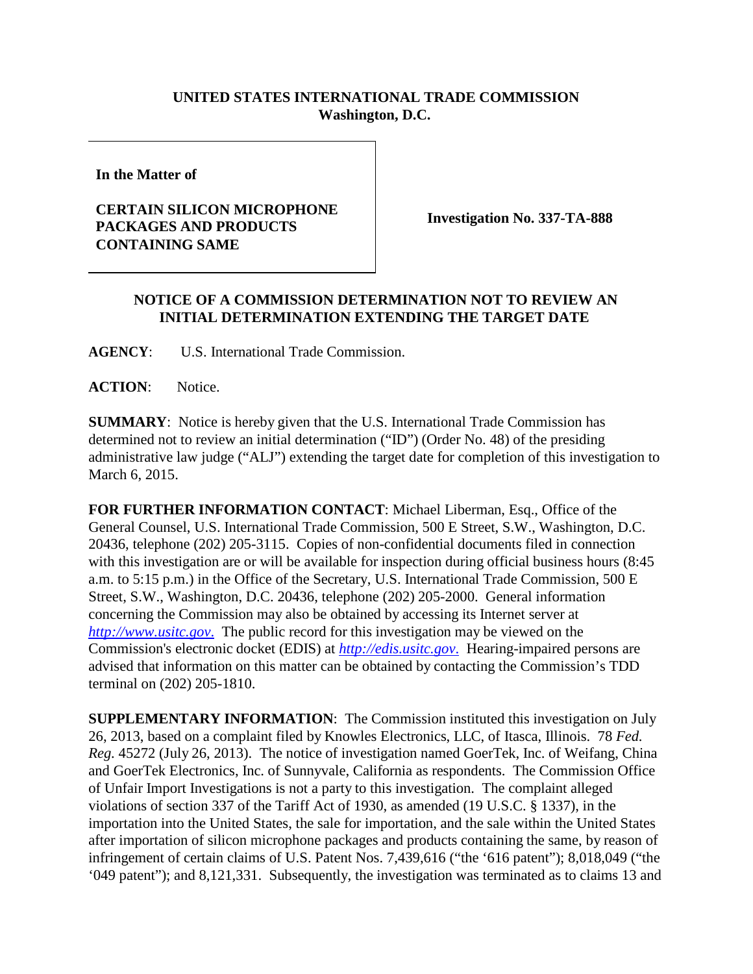## **UNITED STATES INTERNATIONAL TRADE COMMISSION Washington, D.C.**

**In the Matter of**

## **CERTAIN SILICON MICROPHONE PACKAGES AND PRODUCTS CONTAINING SAME**

**Investigation No. 337-TA-888**

## **NOTICE OF A COMMISSION DETERMINATION NOT TO REVIEW AN INITIAL DETERMINATION EXTENDING THE TARGET DATE**

**AGENCY**: U.S. International Trade Commission.

**ACTION**: Notice.

**SUMMARY**: Notice is hereby given that the U.S. International Trade Commission has determined not to review an initial determination ("ID") (Order No. 48) of the presiding administrative law judge ("ALJ") extending the target date for completion of this investigation to March 6, 2015.

**FOR FURTHER INFORMATION CONTACT**: Michael Liberman, Esq., Office of the General Counsel, U.S. International Trade Commission, 500 E Street, S.W., Washington, D.C. 20436, telephone (202) 205-3115. Copies of non-confidential documents filed in connection with this investigation are or will be available for inspection during official business hours (8:45) a.m. to 5:15 p.m.) in the Office of the Secretary, U.S. International Trade Commission, 500 E Street, S.W., Washington, D.C. 20436, telephone (202) 205-2000. General information concerning the Commission may also be obtained by accessing its Internet server at *[http://www.usitc.gov](http://www.usitc.gov./)*. The public record for this investigation may be viewed on the Commission's electronic docket (EDIS) at *[http://edis.usitc.gov](http://edis.usitc.gov./)*. Hearing-impaired persons are advised that information on this matter can be obtained by contacting the Commission's TDD terminal on (202) 205-1810.

**SUPPLEMENTARY INFORMATION**: The Commission instituted this investigation on July 26, 2013, based on a complaint filed by Knowles Electronics, LLC, of Itasca, Illinois. 78 *Fed. Reg.* 45272 (July 26, 2013). The notice of investigation named GoerTek, Inc. of Weifang, China and GoerTek Electronics, Inc. of Sunnyvale, California as respondents. The Commission Office of Unfair Import Investigations is not a party to this investigation. The complaint alleged violations of section 337 of the Tariff Act of 1930, as amended (19 U.S.C. § 1337), in the importation into the United States, the sale for importation, and the sale within the United States after importation of silicon microphone packages and products containing the same, by reason of infringement of certain claims of U.S. Patent Nos. 7,439,616 ("the '616 patent"); 8,018,049 ("the '049 patent"); and 8,121,331. Subsequently, the investigation was terminated as to claims 13 and